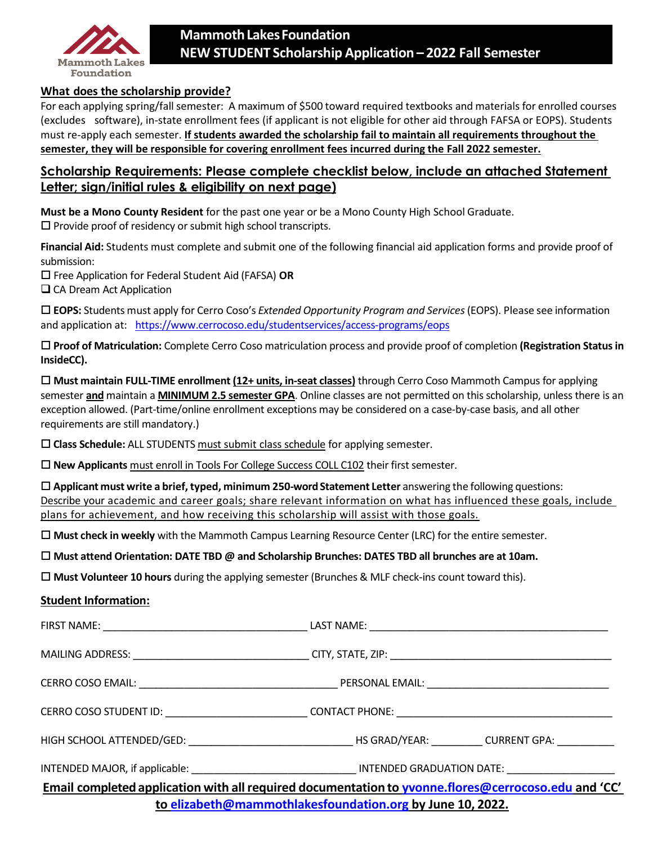

#### **What does the scholarship provide?**

For each applying spring/fall semester: A maximum of \$500 toward required textbooks and materials for enrolled courses (excludes software), in-state enrollment fees (if applicant is not eligible for other aid through FAFSA or EOPS). Students must re-apply each semester. **If students awarded the scholarship fail to maintain all requirements throughout the semester, they will be responsible for covering enrollment fees incurred during the Fall 2022 semester.**

## **Scholarship Requirements: Please complete checklist below, include an attached Statement Letter; sign/initial rules & eligibility on next page)**

**Must be a Mono County Resident** for the past one year or be a Mono County High School Graduate.  $\square$  Provide proof of residency or submit high school transcripts.

**Financial Aid:** Students must complete and submit one of the following financial aid application forms and provide proof of submission:

Free Application for Federal Student Aid (FAFSA) **OR**

 $\Box$  CA Dream Act Application

 **EOPS:** Students must apply for Cerro Coso's *Extended Opportunity Program and Services*(EOPS). Please see information and application at: https:/[/www.cerrocoso.edu/studentservices/access-programs/eops](http://www.cerrocoso.edu/studentservice)

 **Proof of Matriculation:** Complete Cerro Coso matriculation process and provide proof of completion **(Registration Status in InsideCC).**

 **Must maintain FULL-TIME enrollment (12+ units, in-seat classes)** through Cerro Coso Mammoth Campus for applying semester **and** maintain a **MINIMUM 2.5 semester GPA**. Online classes are not permitted on this scholarship, unless there is an exception allowed. (Part-time/online enrollment exceptions may be considered on a case-by-case basis, and all other requirements are still mandatory.)

**Class Schedule:** ALL STUDENTS must submit class schedule for applying semester.

**New Applicants** must enroll in Tools For College Success COLL C102 their first semester.

 **Applicant must write a brief, typed, minimum 250-wordStatement Letter** answering the following questions: Describe your academic and career goals; share relevant information on what has influenced these goals, include plans for achievement, and how receiving this scholarship will assist with those goals.

**Must check in weekly** with the Mammoth Campus Learning Resource Center (LRC) for the entire semester.

**Must attend Orientation: DATE TBD @ and Scholarship Brunches: DATES TBD all brunches are at 10am.**

**Must Volunteer 10 hours** during the applying semester (Brunches & MLF check-ins count toward this).

#### **Student Information:**

|                                                           | Email completed application with all required documentation to yvonne.flores@cerrocoso.edu and 'CC' |  |  |  |
|-----------------------------------------------------------|-----------------------------------------------------------------------------------------------------|--|--|--|
| to elizabeth@mammothlakesfoundation.org by June 10, 2022. |                                                                                                     |  |  |  |